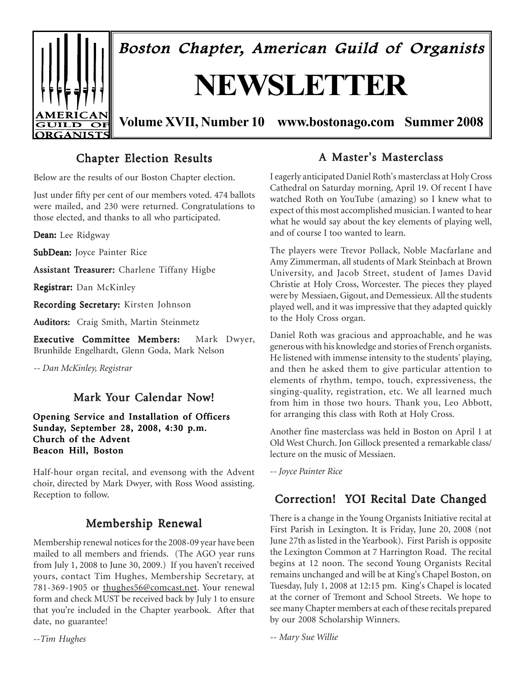

# **Chapter Election Results**

Below are the results of our Boston Chapter election.

Just under fifty per cent of our members voted. 474 ballots were mailed, and 230 were returned. Congratulations to those elected, and thanks to all who participated.

Dean: Lee Ridgway

SubDean: Joyce Painter Rice

Assistant Treasurer: Charlene Tiffany Higbe

Registrar: Dan McKinley

Recording Secretary: Kirsten Johnson

Auditors: Craig Smith, Martin Steinmetz

Executive Committee Members: Mark Dwyer, Brunhilde Engelhardt, Glenn Goda, Mark Nelson

*-- Dan McKinley, Registrar*

## Mark Your Calendar Now!

#### Opening Service and Installation of Officers Sunday, September 28, 2008, 4:30 p.m. Church of the Advent Beacon Hill, Boston

Half-hour organ recital, and evensong with the Advent choir, directed by Mark Dwyer, with Ross Wood assisting.

# Membership Renewal

Membership renewal notices for the 2008-09 year have been mailed to all members and friends. (The AGO year runs from July 1, 2008 to June 30, 2009.) If you haven't received yours, contact Tim Hughes, Membership Secretary, at 781-369-1905 or thughes56@comcast.net. Your renewal form and check MUST be received back by July 1 to ensure that you're included in the Chapter yearbook. After that date, no guarantee!

*--Tim Hughes*

## A Master's Masterclass

I eagerly anticipated Daniel Roth's masterclass at Holy Cross Cathedral on Saturday morning, April 19. Of recent I have watched Roth on YouTube (amazing) so I knew what to expect of this most accomplished musician. I wanted to hear what he would say about the key elements of playing well, and of course I too wanted to learn.

The players were Trevor Pollack, Noble Macfarlane and Amy Zimmerman, all students of Mark Steinbach at Brown University, and Jacob Street, student of James David Christie at Holy Cross, Worcester. The pieces they played were by Messiaen, Gigout, and Demessieux. All the students played well, and it was impressive that they adapted quickly to the Holy Cross organ.

Daniel Roth was gracious and approachable, and he was generous with his knowledge and stories of French organists. He listened with immense intensity to the students' playing, and then he asked them to give particular attention to elements of rhythm, tempo, touch, expressiveness, the singing-quality, registration, etc. We all learned much from him in those two hours. Thank you, Leo Abbott, for arranging this class with Roth at Holy Cross.

Another fine masterclass was held in Boston on April 1 at Old West Church. Jon Gillock presented a remarkable class/ lecture on the music of Messiaen.

*-- Joyce Painter Rice*

# Reception to follow. Correction! YOI Recital Date Changed

There is a change in the Young Organists Initiative recital at First Parish in Lexington. It is Friday, June 20, 2008 (not June 27th as listed in the Yearbook). First Parish is opposite the Lexington Common at 7 Harrington Road. The recital begins at 12 noon. The second Young Organists Recital remains unchanged and will be at King's Chapel Boston, on Tuesday, July 1, 2008 at 12:15 pm. King's Chapel is located at the corner of Tremont and School Streets. We hope to see many Chapter members at each of these recitals prepared by our 2008 Scholarship Winners.

*-- Mary Sue Willie*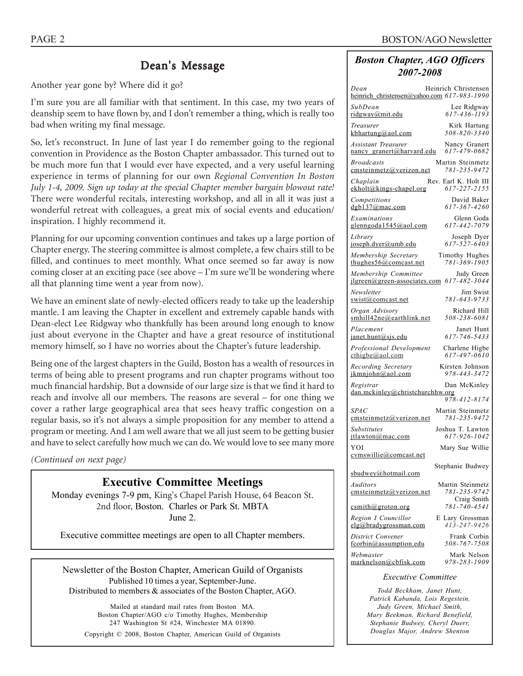# Dean's Message

Another year gone by? Where did it go?

I'm sure you are all familiar with that sentiment. In this case, my two years of deanship seem to have flown by, and I don't remember a thing, which is really too bad when writing my final message.

So, let's reconstruct. In June of last year I do remember going to the regional convention in Providence as the Boston Chapter ambassador. This turned out to be much more fun that I would ever have expected, and a very useful learning experience in terms of planning for our own *Regional Convention In Boston July 1-4, 2009. Sign up today at the special Chapter member bargain blowout rate!* There were wonderful recitals, interesting workshop, and all in all it was just a wonderful retreat with colleagues, a great mix of social events and education/ inspiration. I highly recommend it.

Planning for our upcoming convention continues and takes up a large portion of Chapter energy. The steering committee is almost complete, a few chairs still to be filled, and continues to meet monthly. What once seemed so far away is now coming closer at an exciting pace (see above – I'm sure we'll be wondering where all that planning time went a year from now).

We have an eminent slate of newly-elected officers ready to take up the leadership mantle. I am leaving the Chapter in excellent and extremely capable hands with Dean-elect Lee Ridgway who thankfully has been around long enough to know just about everyone in the Chapter and have a great resource of institutional memory himself, so I have no worries about the Chapter's future leadership.

Being one of the largest chapters in the Guild, Boston has a wealth of resources in terms of being able to present programs and run chapter programs without too much financial hardship. But a downside of our large size is that we find it hard to reach and involve all our members. The reasons are several – for one thing we cover a rather large geographical area that sees heavy traffic congestion on a regular basis, so it's not always a simple proposition for any member to attend a program or meeting. And I am well aware that we all just seem to be getting busier and have to select carefully how much we can do. We would love to see many more

*(Continued on next page)*

### **Executive Committee Meetings**

Monday evenings 7-9 pm, King's Chapel Parish House, 64 Beacon St. 2nd floor, Boston. Charles or Park St. MBTA June 2.

Executive committee meetings are open to all Chapter members.

Newsletter of the Boston Chapter, American Guild of Organists Published 10 times a year, September-June. Distributed to members & associates of the Boston Chapter, AGO.

Mailed at standard mail rates from Boston MA. Boston Chapter/AGO c/o Timothy Hughes, Membership 247 Washington St #24, Winchester MA 01890. Copyright © 2008, Boston Chapter, American Guild of Organists

### *Boston Chapter, AGO Officers 2007-2008*

| Heinrich Christensen<br>Dean<br>heinrich christensen@yahoo.com 617-983-1990                     |  |  |  |  |
|-------------------------------------------------------------------------------------------------|--|--|--|--|
| SubDean<br>Lee Ridgway<br>617-436-1193<br>ridgway@mit.edu                                       |  |  |  |  |
| Treasurer<br>Kirk Hartung<br>$508 - 820 - 3340$<br>kbhartung@aol.com                            |  |  |  |  |
| <b>Assistant Treasurer</b><br>Nancy Granert<br>617-479-0682<br>nancy granert@harvard.edu        |  |  |  |  |
| <b>Broadcasts</b><br>Martin Steinmetz<br>cmsteinmetz@verizon.net<br>781-235-9472                |  |  |  |  |
| Rev. Earl K. Holt III<br>Chaplain<br>617-227-2155<br>ekholt@kings-chapel.org                    |  |  |  |  |
| David Baker<br>Competitions<br>dgb137@mac.com<br>617-367-4260                                   |  |  |  |  |
| Glenn Goda<br>Examinations<br>glenngoda1545@aol.com<br>617-442-7079                             |  |  |  |  |
| Library<br>Joseph Dyer<br>$617 - 527 - 6403$<br>joseph.dyer@umb.edu                             |  |  |  |  |
| Membership Secretary<br><b>Timothy Hughes</b><br>781-369-1905<br>thughes $56@$ comcast.net      |  |  |  |  |
| Membership Committee<br>Judy Green<br>$617 - 482 - 3044$<br>jlgreen@green-associates.com        |  |  |  |  |
| Newsletter<br>Jim Swist<br>781-643-9733<br>swist@comcast.net                                    |  |  |  |  |
| Organ Advisory<br>Richard Hill<br>smhill42ne@earthlink.net<br>508-238-6081                      |  |  |  |  |
| Janet Hunt<br>Placement<br>617-746-5433<br>janet.hunt@sjs.edu                                   |  |  |  |  |
| Professional Development<br>Charlene Higbe<br>$617 - 497 - 0610$<br>$\text{cthigbe}(a)$ aol.com |  |  |  |  |
| Recording Secretary<br>Kirsten Johnson<br>978-443-3472<br>jkmnjohn@aol.com                      |  |  |  |  |
| Registrar<br>Dan McKinley<br>dan.mckinley@christchurchhw.org                                    |  |  |  |  |
| 978-412-8174<br><b>SPAC</b><br>Martin Steinmetz                                                 |  |  |  |  |
| 781-235-9472<br>emsteinmetz@verizon.net                                                         |  |  |  |  |
| Joshua T. Lawton<br><b>Substitutes</b><br>617-926-1042<br>itlawton@mac.com                      |  |  |  |  |
| YOI<br>Mary Sue Willie<br>cymswillie@comcast.net                                                |  |  |  |  |
| Stephanie Budwey                                                                                |  |  |  |  |
| sbudwey@hotmail.com<br>Martin Steinmetz<br>Auditors                                             |  |  |  |  |
| 781-235-9742<br>emsteinmetz@verizon.net<br>Craig Smith                                          |  |  |  |  |
| 781-740-4541<br>csmith@groton.org                                                               |  |  |  |  |
| Region I Councillor<br>E Lary Grossman<br>$413 - 247 - 9426$<br>elg@bradygrossman.com           |  |  |  |  |
| District Convener<br>Frank Corbin<br>508-767-7508<br>fcorbin@assumption.edu                     |  |  |  |  |
| Webmaster<br>Mark Nelson<br>978-283-1909<br>marknelson@cbfisk.com                               |  |  |  |  |
| <b>Executive Committee</b>                                                                      |  |  |  |  |

*Todd Beckham, Janet Hunt, Patrick Kabanda, Lois Regestein, Judy Green, Michael Smith, Mary Beekman, Richard Benefield, Stephanie Budwey, Cheryl Duerr, Douglas Major, Andrew Shenton*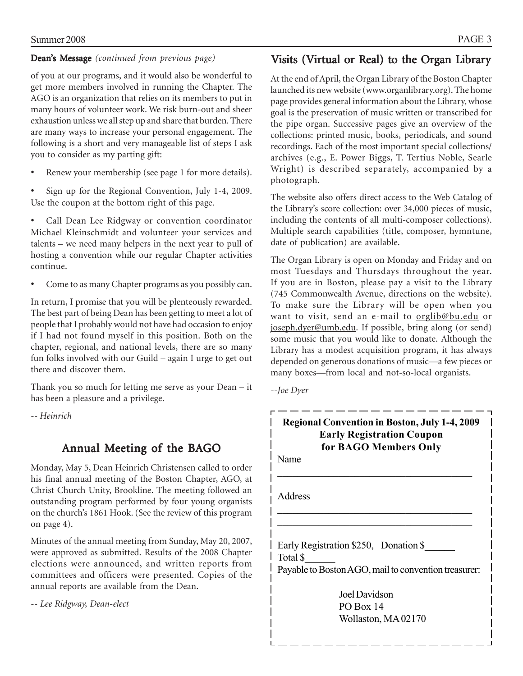### Dean's Message*(continued from previous page)*

of you at our programs, and it would also be wonderful to get more members involved in running the Chapter. The AGO is an organization that relies on its members to put in many hours of volunteer work. We risk burn-out and sheer exhaustion unless we all step up and share that burden. There are many ways to increase your personal engagement. The following is a short and very manageable list of steps I ask you to consider as my parting gift:

- Renew your membership (see page 1 for more details).
- Sign up for the Regional Convention, July 1-4, 2009. Use the coupon at the bottom right of this page.

• Call Dean Lee Ridgway or convention coordinator Michael Kleinschmidt and volunteer your services and talents – we need many helpers in the next year to pull of hosting a convention while our regular Chapter activities continue.

• Come to as many Chapter programs as you possibly can.

In return, I promise that you will be plenteously rewarded. The best part of being Dean has been getting to meet a lot of people that I probably would not have had occasion to enjoy if I had not found myself in this position. Both on the chapter, regional, and national levels, there are so many fun folks involved with our Guild – again I urge to get out there and discover them.

Thank you so much for letting me serve as your Dean – it has been a pleasure and a privilege.

*-- Heinrich*

# Annual Meeting of the BAGO

Monday, May 5, Dean Heinrich Christensen called to order his final annual meeting of the Boston Chapter, AGO, at Christ Church Unity, Brookline. The meeting followed an outstanding program performed by four young organists on the church's 1861 Hook. (See the review of this program on page 4).

Minutes of the annual meeting from Sunday, May 20, 2007, were approved as submitted. Results of the 2008 Chapter elections were announced, and written reports from committees and officers were presented. Copies of the annual reports are available from the Dean.

*-- Lee Ridgway, Dean-elect*

# Visits (Virtual or Real) to the Organ Library

At the end of April, the Organ Library of the Boston Chapter launched its new website (www.organlibrary.org). The home page provides general information about the Library, whose goal is the preservation of music written or transcribed for the pipe organ. Successive pages give an overview of the collections: printed music, books, periodicals, and sound recordings. Each of the most important special collections/ archives (e.g., E. Power Biggs, T. Tertius Noble, Searle Wright) is described separately, accompanied by a photograph.

The website also offers direct access to the Web Catalog of the Library's score collection: over 34,000 pieces of music, including the contents of all multi-composer collections). Multiple search capabilities (title, composer, hymntune, date of publication) are available.

The Organ Library is open on Monday and Friday and on most Tuesdays and Thursdays throughout the year. If you are in Boston, please pay a visit to the Library (745 Commonwealth Avenue, directions on the website). To make sure the Library will be open when you want to visit, send an e-mail to orglib@bu.edu or joseph.dyer@umb.edu. If possible, bring along (or send) some music that you would like to donate. Although the Library has a modest acquisition program, it has always depended on generous donations of music—a few pieces or many boxes—from local and not-so-local organists.

*--Joe Dyer*

# **Regional Convention in Boston, July 1-4, 2009 Early Registration Coupon for BAGO Members Only**

 $\mathcal{L}_\text{max}$ 

 $\mathcal{L}_\text{max}$  $\mathcal{L}_\text{max}$  and  $\mathcal{L}_\text{max}$  and  $\mathcal{L}_\text{max}$  and  $\mathcal{L}_\text{max}$ 

Name

Address

Early Registration \$250, Donation \$ Total \$\_\_\_\_\_\_ Payable to Boston AGO, mail to convention treasurer:

> Joel Davidson PO Box 14 Wollaston, MA 02170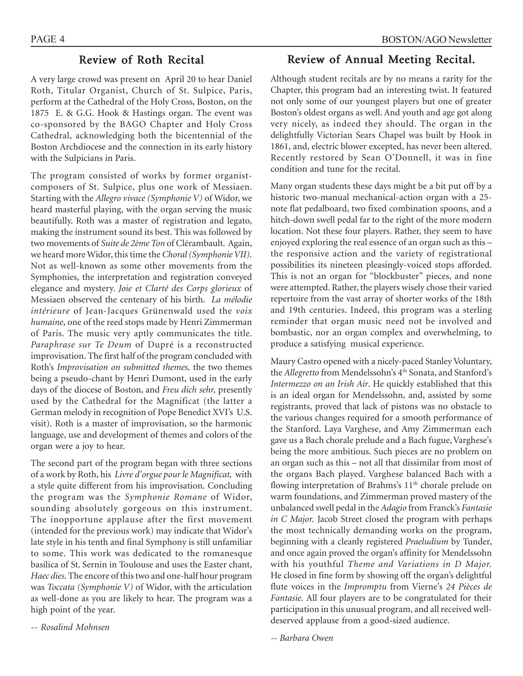### Review of Roth Recital

A very large crowd was present on April 20 to hear Daniel Roth, Titular Organist, Church of St. Sulpice, Paris, perform at the Cathedral of the Holy Cross, Boston, on the 1875 E. & G.G. Hook & Hastings organ. The event was co-sponsored by the BAGO Chapter and Holy Cross Cathedral, acknowledging both the bicentennial of the Boston Archdiocese and the connection in its early history with the Sulpicians in Paris.

The program consisted of works by former organistcomposers of St. Sulpice, plus one work of Messiaen. Starting with the *Allegro vivace (Symphonie V)* of Widor, we heard masterful playing, with the organ serving the music beautifully. Roth was a master of registration and legato, making the instrument sound its best. This was followed by two movements of *Suite de 2ème Ton* of Clérambault. Again, we heard more Widor, this time the *Choral (Symphonie VII).* Not as well-known as some other movements from the Symphonies, the interpretation and registration conveyed elegance and mystery. *Joie et Clarté des Corps glorieux* of Messiaen observed the centenary of his birth. *La mélodie intérieure* of Jean-Jacques Grünenwald used the *voix humaine*, one of the reed stops made by Henri Zimmerman of Paris. The music very aptly communicates the title. *Paraphrase sur Te Deum* of Dupré is a reconstructed improvisation. The first half of the program concluded with Roth's *Improvisation on submitted themes,* the two themes being a pseudo-chant by Henri Dumont, used in the early days of the diocese of Boston, and *Freu dich sehr,* presently used by the Cathedral for the Magnificat (the latter a German melody in recognition of Pope Benedict XVI's U.S. visit). Roth is a master of improvisation, so the harmonic language, use and development of themes and colors of the organ were a joy to hear.

The second part of the program began with three sections of a work by Roth, his *Livre d'orgue pour le Magnificat,* with a style quite different from his improvisation. Concluding the program was the *Symphonie Romane* of Widor, sounding absolutely gorgeous on this instrument. The inopportune applause after the first movement (intended for the previous work) may indicate that Widor's late style in his tenth and final Symphony is still unfamiliar to some. This work was dedicated to the romanesque basilica of St. Sernin in Toulouse and uses the Easter chant, *Haec dies.* The encore of this two and one-half hour program was *Toccata (Symphonie V)* of Widor, with the articulation as well-done as you are likely to hear. The program was a high point of the year.

*-- Rosalind Mohnsen*

### Review of Annual Meeting Recital.

Although student recitals are by no means a rarity for the Chapter, this program had an interesting twist. It featured not only some of our youngest players but one of greater Boston's oldest organs as well. And youth and age got along very nicely, as indeed they should. The organ in the delightfully Victorian Sears Chapel was built by Hook in 1861, and, electric blower excepted, has never been altered. Recently restored by Sean O'Donnell, it was in fine condition and tune for the recital.

Many organ students these days might be a bit put off by a historic two-manual mechanical-action organ with a 25 note flat pedalboard, two fixed combination spoons, and a hitch-down swell pedal far to the right of the more modern location. Not these four players. Rather, they seem to have enjoyed exploring the real essence of an organ such as this – the responsive action and the variety of registrational possibilities its nineteen pleasingly-voiced stops afforded. This is not an organ for "blockbuster" pieces, and none were attempted. Rather, the players wisely chose their varied repertoire from the vast array of shorter works of the 18th and 19th centuries. Indeed, this program was a sterling reminder that organ music need not be involved and bombastic, nor an organ complex and overwhelming, to produce a satisfying musical experience.

Maury Castro opened with a nicely-paced Stanley Voluntary, the *Allegretto* from Mendelssohn's 4<sup>th</sup> Sonata, and Stanford's *Intermezzo on an Irish Air*. He quickly established that this is an ideal organ for Mendelssohn, and, assisted by some registrants, proved that lack of pistons was no obstacle to the various changes required for a smooth performance of the Stanford. Laya Varghese, and Amy Zimmerman each gave us a Bach chorale prelude and a Bach fugue, Varghese's being the more ambitious. Such pieces are no problem on an organ such as this – not all that dissimilar from most of the organs Bach played. Varghese balanced Bach with a flowing interpretation of Brahms's 11<sup>th</sup> chorale prelude on warm foundations, and Zimmerman proved mastery of the unbalanced swell pedal in the *Adagio* from Franck's *Fantasie in C Major.* Jacob Street closed the program with perhaps the most technically demanding works on the program, beginning with a cleanly registered *Praeludium* by Tunder, and once again proved the organ's affinity for Mendelssohn with his youthful *Theme and Variations in D Major.* He closed in fine form by showing off the organ's delightful flute voices in the *Impromptu* from Vierne's *24 Pièces de Fantasie.* All four players are to be congratulated for their participation in this unusual program, and all received welldeserved applause from a good-sized audience.

*-- Barbara Owen*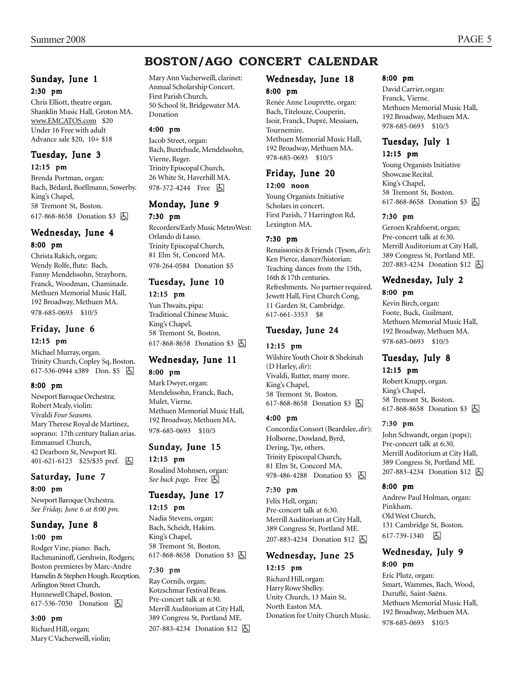#### Sunday, June 1 2:30 pm

Chris Elliott, theatre organ. Shanklin Music Hall, Groton MA. www.EMCATOS.com \$20 Under 16 Free with adult Advance sale \$20, 10+ \$18

### Tuesday, June 3 12:15 pm

Brenda Portman, organ: Bach, Bédard, Boëllmann, Sowerby. King's Chapel, 58 Tremont St, Boston. 617-868-8658 Donation \$3 因

### Wednesday, June 4 8:00 pm

Christa Rakich, organ; Wendy Rolfe, flute: Bach, Fanny Mendelssohn, Strayhorn, Franck, Woodman, Chaminade. Methuen Memorial Music Hall, 192 Broadway, Methuen MA. 978-685-0693 \$10/5

### Friday, June 6 12:15 pm

Michael Murray, organ. Trinity Church, Copley Sq, Boston. 617-536-0944 x389 Don. \$5 &

### 8:00 pm

Newport Baroque Orchestra; Robert Mealy, violin: Vivaldi *Four Seasons.* Mary Therese Royal de Martinez, soprano: 17th century Italian arias. Emmanuel Church, 42 Dearborn St, Newport RI. 401-621-6123 \$25/\$35 pref. **b** 

#### Saturday, June 7 8:00 pm

Newport Baroque Orchestra. *See Friday, June 6 at 8:00 pm.*

### Sunday, June 8 1:00 pm

Rodger Vine, piano: Bach, Rachmaninoff, Gershwin, Rodgers; Boston premieres by Marc-Andre Hamelin & Stephen Hough. Reception. Arlington Street Church, Hunnewell Chapel, Boston. 617-536-7050 Donation  $\boxed{6}$ 

#### 3:00 pm

Richard Hill, organ; Mary C Vacherweill, violin;

#### Mary Ann Vacherweill, clarinet: Annual Scholarship Concert. First Parish Church, 50 School St, Bridgewater MA. Donation

#### 4:00 pm

Jacob Street, organ: Bach, Buxtehude, Mendelssohn, Vierne, Reger. Trinity Episcopal Church, 26 White St, Haverhill MA. 978-372-4244 Free Fall

## Monday, June 9

#### 7:30 pm

Recorders/Early Music MetroWest: Orlando di Lasso. Trinity Episcopal Church, 81 Elm St, Concord MA. 978-264-0584 Donation \$5

# Tuesday, June 10

#### 12:15 pm

Yun Thwaits, pipa: Traditional Chinese Music. King's Chapel, 58 Tremont St, Boston. 617-868-8658 Donation \$3 **&** 

#### Wednesday, June 11 8:00 pm

Mark Dwyer, organ: Mendelssohn, Franck, Bach, Mulet, Vierne. Methuen Memorial Music Hall, 192 Broadway, Methuen MA. 978-685-0693 \$10/5

#### Sunday, June 15 12:15 pm

Rosalind Mohnsen, organ: *See back page.* Free  $\boxed{6}$ 

### Tuesday, June 17 12:15 pm

Nadia Stevens, organ: Bach, Scheidt, Hakim. King's Chapel, 58 Tremont St, Boston. 617-868-8658 Donation \$3 因

#### 7:30 pm

Ray Cornils, organ; Kotzschmar Festival Brass. Pre-concert talk at 6:30. Merrill Auditorium at City Hall, 389 Congress St, Portland ME. 207-883-4234 Donation \$12 **b** 

### Wednesday, June 18

#### 8:00 pm

Renée Anne Louprette, organ: Bach, Titelouze, Couperin, Isoir, Franck, Dupré, Messiaen, Tournemire. Methuen Memorial Music Hall, 192 Broadway, Methuen MA. 978-685-0693 \$10/5

## Friday, June 20

#### 12:00 noon

Young Organists Initiative Scholars in concert. First Parish, 7 Harrington Rd, Lexington MA.

#### 7:30 pm

Renaissonics & Friends (Tyson, *dir*); Ken Pierce, dancer/historian: Teaching dances from the 15th, 16th & 17th centuries. Refreshments. No partner required. Jewett Hall, First Church Cong, 11 Garden St, Cambridge. 617-661-3353 \$8

### Tuesday, June 24

### 12:15 pm

Wilshire Youth Choir & Shekinah (D Harley, *dir*): Vivaldi, Rutter, many more. King's Chapel, 58 Tremont St, Boston. 617-868-8658 Donation \$3 **6** 

#### 4:00 pm

Concordia Consort (Beardslee, *dir*): Holborne, Dowland, Byrd, Dering, Tye, others. Trinity Episcopal Church, 81 Elm St, Concord MA. 978-486-4288 Donation \$5 **b** 

#### 7:30 pm

Felix Hell, organ; Pre-concert talk at 6:30. Merrill Auditorium at City Hall, 389 Congress St, Portland ME. 207-883-4234 Donation \$12 | A

### Wednesday, June 25 12:15 pm

Richard Hill, organ: Harry Rowe Shelley. Unity Church, 13 Main St, North Easton MA. Donation for Unity Church Music.

#### 8:00 pm

David Carrier, organ: Franck, Vierne. Methuen Memorial Music Hall, 192 Broadway, Methuen MA. 978-685-0693 \$10/5

#### Tuesday, July 1 12:15 pm

Young Organists Initiative Showcase Recital. King's Chapel, 58 Tremont St, Boston. 617-868-8658 Donation \$3 [5]

#### 7:30 pm

Geroen Krahfoerst, organ; Pre-concert talk at 6:30. Merrill Auditorium at City Hall, 389 Congress St, Portland ME. 207-883-4234 Donation \$12 **b** 

### Wednesday, July 2 8:00 pm

Kevin Birch, organ: Foote, Buck, Guilmant. Methuen Memorial Music Hall, 192 Broadway, Methuen MA. 978-685-0693 \$10/5

#### Tuesday, July 8 12:15 pm

Robert Knupp, organ. King's Chapel, 58 Tremont St, Boston. 617-868-8658 Donation \$3 [5]

#### 7:30 pm

John Schwandt, organ (pops); Pre-concert talk at 6:30. Merrill Auditorium at City Hall, 389 Congress St, Portland ME. 207-883-4234 Donation \$12 | A

#### 8:00 pm

Andrew Paul Holman, organ: Pinkham. Old West Church, 131 Cambridge St, Boston. 617-739-1340 上

### Wednesday, July 9 8:00 pm

Eric Plutz, organ: Smart, Wammes, Bach, Wood, Duruflé, Saint-Saëns. Methuen Memorial Music Hall, 192 Broadway, Methuen MA. 978-685-0693 \$10/5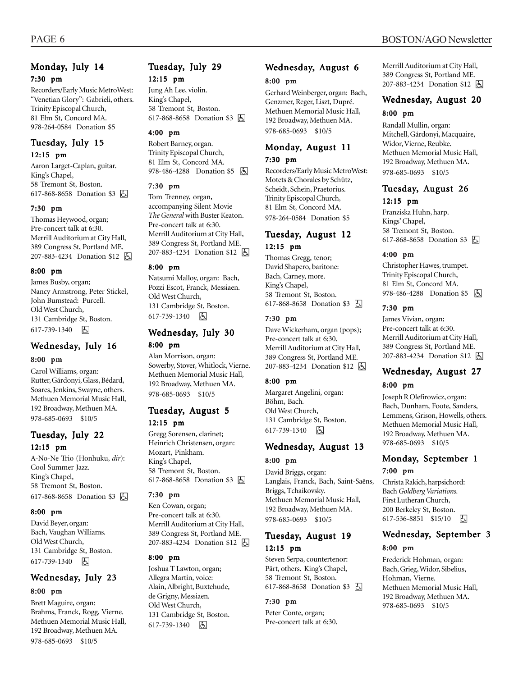Recorders/Early Music MetroWest: "Venetian Glory": Gabrieli, others. Trinity Episcopal Church, 81 Elm St, Concord MA. 978-264-0584 Donation \$5

# Tuesday, July 15

12:15 pm

Aaron Larget-Caplan, guitar. King's Chapel, 58 Tremont St, Boston. 617-868-8658 Donation \$3 因

#### 7:30 pm

Thomas Heywood, organ; Pre-concert talk at 6:30. Merrill Auditorium at City Hall, 389 Congress St, Portland ME. 207-883-4234 Donation \$12 **b** 

#### 8:00 pm

James Busby, organ; Nancy Armstrong, Peter Stickel, John Bumstead: Purcell. Old West Church, 131 Cambridge St, Boston. 617-739-1340 因

# Wednesday, July 16

#### 8:00 pm

Carol Williams, organ: Rutter, Gárdonyi, Glass, Bédard, Soares, Jenkins, Swayne, others. Methuen Memorial Music Hall, 192 Broadway, Methuen MA. 978-685-0693 \$10/5

Tuesday, July 22 12:15 pm

A-No-Ne Trio (Honhuku, *dir*): Cool Summer Jazz. King's Chapel, 58 Tremont St, Boston. 617-868-8658 Donation \$3 <a>

#### 8:00 pm

David Beyer, organ: Bach, Vaughan Williams. Old West Church, 131 Cambridge St, Boston. 617-739-1340 因

### Wednesday, July 23

#### 8:00 pm

Brett Maguire, organ: Brahms, Franck, Rogg, Vierne. Methuen Memorial Music Hall, 192 Broadway, Methuen MA. 978-685-0693 \$10/5

## Tuesday, July 29 12:15 pm

Jung Ah Lee, violin. King's Chapel, 58 Tremont St, Boston. 617-868-8658 Donation \$3 h

#### 4:00 pm

Robert Barney, organ. Trinity Episcopal Church, 81 Elm St, Concord MA. 978-486-4288 Donation \$5 因

#### 7:30 pm

Tom Trenney, organ, accompanying Silent Movie *The General* with Buster Keaton. Pre-concert talk at 6:30. Merrill Auditorium at City Hall, 389 Congress St, Portland ME. 207-883-4234 Donation \$12 **b** 

#### 8:00 pm

Natsumi Malloy, organ: Bach, Pozzi Escot, Franck, Messiaen. Old West Church, 131 Cambridge St, Boston. 617-739-1340 因

### Wednesday, July 30 8:00 pm

Alan Morrison, organ: Sowerby, Stover, Whitlock, Vierne. Methuen Memorial Music Hall, 192 Broadway, Methuen MA. 978-685-0693 \$10/5

#### Tuesday, August 5 12:15 pm

Gregg Sorensen, clarinet; Heinrich Christensen, organ: Mozart, Pinkham. King's Chapel, 58 Tremont St, Boston. 617-868-8658 Donation \$3 因

#### 7:30 pm

Ken Cowan, organ; Pre-concert talk at 6:30. Merrill Auditorium at City Hall, 389 Congress St, Portland ME. 207-883-4234 Donation \$12 **b** 

#### 8:00 pm

Joshua T Lawton, organ; Allegra Martin, voice: Alain, Albright, Buxtehude, de Grigny, Messiaen*.* Old West Church, 131 Cambridge St, Boston. 617-739-1340 6

# Wednesday, August 6

#### 8:00 pm

Gerhard Weinberger, organ: Bach, Genzmer, Reger, Liszt, Dupré. Methuen Memorial Music Hall, 192 Broadway, Methuen MA. 978-685-0693 \$10/5

#### Monday, August 11 7:30 pm

Recorders/Early Music MetroWest: Motets & Chorales by Schütz,

Scheidt, Schein, Praetorius. Trinity Episcopal Church, 81 Elm St, Concord MA. 978-264-0584 Donation \$5

### Tuesday, August 12 12:15 pm

Thomas Gregg, tenor; David Shapero, baritone: Bach, Carney, more. King's Chapel, 58 Tremont St, Boston. 617-868-8658 Donation \$3 | 5

#### 7:30 pm

Dave Wickerham, organ (pops); Pre-concert talk at 6:30. Merrill Auditorium at City Hall, 389 Congress St, Portland ME. 207-883-4234 Donation \$12 因

#### 8:00 pm

Margaret Angelini, organ: Böhm, Bach*.* Old West Church, 131 Cambridge St, Boston. 617-739-1340 因

### Wednesday, August 13

#### 8:00 pm

David Briggs, organ: Langlais, Franck, Bach, Saint-Saëns, Briggs, Tchaikovsky. Methuen Memorial Music Hall, 192 Broadway, Methuen MA. 978-685-0693 \$10/5

### Tuesday, August 19 12:15 pm

Steven Serpa, countertenor: Pärt, others. King's Chapel, 58 Tremont St, Boston. 617-868-8658 Donation \$3 [5]

#### 7:30 pm

Peter Conte, organ; Pre-concert talk at 6:30.

## PAGE 6 BOSTON/AGO Newsletter

Merrill Auditorium at City Hall, 389 Congress St, Portland ME. 207-883-4234 Donation \$12 4

## Wednesday, August 20

### 8:00 pm

Randall Mullin, organ: Mitchell, Gárdonyi, Macquaire, Widor, Vierne, Reubke. Methuen Memorial Music Hall, 192 Broadway, Methuen MA. 978-685-0693 \$10/5

#### Tuesday, August 26 12:15 pm

Franziska Huhn, harp. Kings' Chapel, 58 Tremont St, Boston. 617-868-8658 Donation \$3 [5]

#### 4:00 pm

Christopher Hawes, trumpet. Trinity Episcopal Church, 81 Elm St, Concord MA. 978-486-4288 Donation \$5 周

#### 7:30 pm

James Vivian, organ; Pre-concert talk at 6:30. Merrill Auditorium at City Hall, 389 Congress St, Portland ME. 207-883-4234 Donation \$12 因

### Wednesday, August 27

#### 8:00 pm

Joseph R Olefirowicz, organ: Bach, Dunham, Foote, Sanders, Lemmens, Grison, Howells, others. Methuen Memorial Music Hall, 192 Broadway, Methuen MA. 978-685-0693 \$10/5

#### Monday, September 1 7:00 pm

Christa Rakich, harpsichord: Bach *Goldberg Variations.* First Lutheran Church, 200 Berkeley St, Boston. 617-536-8851 \$15/10 因

## Wednesday, September 3

#### 8:00 pm

Frederick Hohman, organ: Bach, Grieg, Widor, Sibelius, Hohman, Vierne. Methuen Memorial Music Hall, 192 Broadway, Methuen MA. 978-685-0693 \$10/5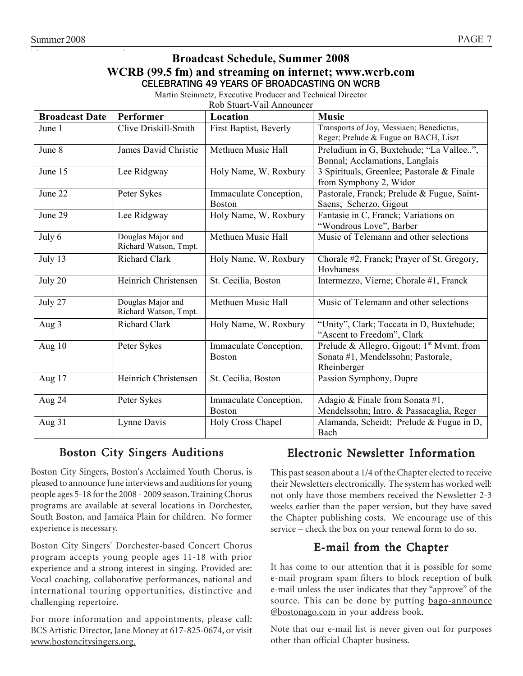# **Broadcast Schedule, Summer 2008**

### **WCRB (99.5 fm) and streaming on internet; www.wcrb.com**  CELEBRATING 49 YEARS OF BROADCASTING ON WCRB

Martin Steinmetz, Executive Producer and Technical Director

Rob Stuart-Vail Announcer

| <b>Broadcast Date</b> | Performer                                  | Location                                | <b>Music</b>                                                                                               |
|-----------------------|--------------------------------------------|-----------------------------------------|------------------------------------------------------------------------------------------------------------|
| June 1                | Clive Driskill-Smith                       | First Baptist, Beverly                  | Transports of Joy, Messiaen; Benedictus,<br>Reger; Prelude & Fugue on BACH, Liszt                          |
| June 8                | James David Christie                       | Methuen Music Hall                      | Preludium in G, Buxtehude; "La Vallee",<br>Bonnal; Acclamations, Langlais                                  |
| June 15               | Lee Ridgway                                | Holy Name, W. Roxbury                   | 3 Spirituals, Greenlee; Pastorale & Finale<br>from Symphony 2, Widor                                       |
| June 22               | Peter Sykes                                | Immaculate Conception,<br><b>Boston</b> | Pastorale, Franck; Prelude & Fugue, Saint-<br>Saens; Scherzo, Gigout                                       |
| June 29               | Lee Ridgway                                | Holy Name, W. Roxbury                   | Fantasie in C, Franck; Variations on<br>"Wondrous Love", Barber                                            |
| July 6                | Douglas Major and<br>Richard Watson, Tmpt. | Methuen Music Hall                      | Music of Telemann and other selections                                                                     |
| July 13               | <b>Richard Clark</b>                       | Holy Name, W. Roxbury                   | Chorale #2, Franck; Prayer of St. Gregory,<br>Hovhaness                                                    |
| July 20               | Heinrich Christensen                       | St. Cecilia, Boston                     | Intermezzo, Vierne; Chorale #1, Franck                                                                     |
| July 27               | Douglas Major and<br>Richard Watson, Tmpt. | Methuen Music Hall                      | Music of Telemann and other selections                                                                     |
| Aug 3                 | <b>Richard Clark</b>                       | Holy Name, W. Roxbury                   | "Unity", Clark; Toccata in D, Buxtehude;<br>"Ascent to Freedom", Clark                                     |
| Aug $10$              | Peter Sykes                                | Immaculate Conception,<br><b>Boston</b> | Prelude & Allegro, Gigout; 1 <sup>st</sup> Mymt. from<br>Sonata #1, Mendelssohn; Pastorale,<br>Rheinberger |
| Aug 17                | Heinrich Christensen                       | St. Cecilia, Boston                     | Passion Symphony, Dupre                                                                                    |
| Aug 24                | Peter Sykes                                | Immaculate Conception,<br><b>Boston</b> | Adagio & Finale from Sonata #1,<br>Mendelssohn; Intro. & Passacaglia, Reger                                |
| Aug 31                | Lynne Davis                                | Holy Cross Chapel                       | Alamanda, Scheidt; Prelude & Fugue in D,<br>Bach                                                           |

# Boston City Singers Auditions

Boston City Singers, Boston's Acclaimed Youth Chorus, is pleased to announce June interviews and auditions for young people ages 5-18 for the 2008 - 2009 season. Training Chorus programs are available at several locations in Dorchester, South Boston, and Jamaica Plain for children. No former experience is necessary.

Boston City Singers' Dorchester-based Concert Chorus program accepts young people ages 11-18 with prior experience and a strong interest in singing. Provided are: Vocal coaching, collaborative performances, national and international touring opportunities, distinctive and challenging repertoire.

For more information and appointments, please call: BCS Artistic Director, Jane Money at 617-825-0674, or visit www.bostoncitysingers.org.

# Electronic Newsletter Information

This past season about a 1/4 of the Chapter elected to receive their Newsletters electronically. The system has worked well: not only have those members received the Newsletter 2-3 weeks earlier than the paper version, but they have saved the Chapter publishing costs. We encourage use of this service – check the box on your renewal form to do so.

# E-mail from the Chapter

It has come to our attention that it is possible for some e-mail program spam filters to block reception of bulk e-mail unless the user indicates that they "approve" of the source. This can be done by putting bago-announce @bostonago.com in your address book.

Note that our e-mail list is never given out for purposes other than official Chapter business.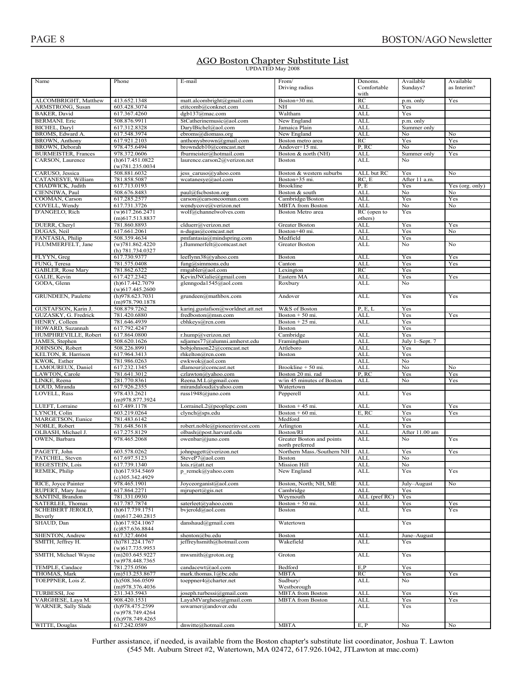#### AGO Boston Chapter Substitute List **UPDATED May 2008**

| Name                       |                                  |                                   |                            |               |                |                 |
|----------------------------|----------------------------------|-----------------------------------|----------------------------|---------------|----------------|-----------------|
|                            | Phone                            | E-mail                            | From/                      | Denoms.       | Available      | Available       |
|                            |                                  |                                   | Driving radius             | Comfortable   | Sundays?       | as Interim?     |
|                            |                                  |                                   |                            | with          |                |                 |
|                            | 413.652.1348                     | matt.alcombright@gmail.com        |                            | RC            |                |                 |
| ALCOMBRIGHT, Matthew       |                                  |                                   | Boston+30 mi.              |               | p.m. only      | Yes             |
| ARMSTRONG, Susan           | 603.428.3074                     | etitcomb@conknet.com              | NH                         | <b>ALL</b>    | Yes            |                 |
| <b>BAKER</b> , David       | 617.367.4260                     | dgb137@mac.com                    | Waltham                    | <b>ALL</b>    | Yes            |                 |
| <b>BERMANI</b> . Eric      | 508.876.9911                     | StCatherinemusic@aol.com          | New England                | <b>ALL</b>    | p.m. only      |                 |
|                            |                                  |                                   |                            |               |                |                 |
| BICHEL, Daryl              | 617.312.8328                     | DarylBichel@aol.com               | Jamaica Plain              | <b>ALL</b>    | Summer only    |                 |
| BROMS, Edward A.           | 617.548.3974                     | ebroms@diomass.org                | New England                | <b>ALL</b>    | No             | No              |
|                            |                                  |                                   |                            | RC            |                |                 |
| BROWN, Anthony             | 617.921.2103                     | anthonysbrown@gmail.com           | Boston metro area          |               | Yes            | Yes             |
| BROWN, Deborah             | 978.475.6494                     | browndeb10@comcast.net            | Andover+15 mi.             | P, RC         | No             | No              |
| <b>BURMEISTER, Frances</b> | 978.372.0606                     | fburmeister@hotmail.com           | Boston & north (NH)        | ALL           | Summer only    | Yes             |
| CARSON, Laurence           | (h)617.451.0822                  | laurence.carson2@verizon.net      | Boston                     | ALL           | No             |                 |
|                            |                                  |                                   |                            |               |                |                 |
|                            | (w)781.235.0034                  |                                   |                            |               |                |                 |
| CARUSO, Jessica            | 508.881.6032                     | jess caruso@yahoo.com             | Boston & western suburbs   | ALL but RC    | Yes            | No              |
| CATANESYE, William         | 781.858.5087                     | wcatanesye@aol.com                | Boston+35 mi.              | RC, E         | After 11 a.m.  |                 |
|                            | 617.713.0193                     |                                   | <b>Brookline</b>           | P.E           |                |                 |
| CHADWICK, Judith           |                                  |                                   |                            |               | Yes            | Yes (org. only) |
| CIENNIWA, Paul             | 508.676.8483                     | paul@fscboston.org                | Boston & south             | <b>ALL</b>    | No             | No              |
| COOMAN, Carson             | 617.285.2577                     | carson@carsoncooman.com           | Cambridge/Boston           | <b>ALL</b>    | Yes            | Yes             |
| COVELL, Wendy              | 617.731.3726                     | wendycove@verizon.net             | <b>MBTA</b> from Boston    | <b>ALL</b>    | No             | No              |
|                            |                                  |                                   |                            |               |                |                 |
| D'ANGELO, Rich             | $\overline{(w)}$ 617.266.2471    | wolf@channelwolves.com            | Boston Metro area          | RC (open to   | Yes            |                 |
|                            | $(m)$ 617.513.8837               |                                   |                            | others)       |                |                 |
| DUERR, Cheryl              | 781.860.8893                     | clduerr@verizon.net               | Greater Boston             | ALL           | Yes            | Yes             |
|                            |                                  |                                   |                            |               |                |                 |
| DUGAS, Neil                | 617.661.2061                     | n-dugas@comcast.net               | Boston+40 mi.              | <b>ALL</b>    | Yes            | No              |
| FANTASIA, Philip           | 508.359.4634                     | pmfantasia@mindspring.com         | Medfield                   | <b>ALL</b>    | Yes            |                 |
| FLUMMERFELT, Jane          | (w)781.862.4220                  | j.flummerfelt@comcast.net         | Greater Boston             | ALL           | No             | No              |
|                            |                                  |                                   |                            |               |                |                 |
|                            | (h) 781.734.0327                 |                                   |                            |               |                |                 |
| FLYYN, Greg                | 617.730.9377                     | leeflynn38@yahoo.com              | Boston                     | <b>ALL</b>    | Yes            | Yes             |
| FUNG, Teresa               | 781.575.0408                     | fung@simmons.edu                  | Canton                     | <b>ALL</b>    | Yes            | Yes             |
|                            |                                  |                                   |                            |               |                |                 |
| <b>GABLER, Rose Mary</b>   | 781.862.6322                     | rmgabler@aol.com                  | Lexington                  | RC            | Yes            |                 |
| GALIE, Kevin               | 617.427.2342                     | KevinJNGalie@gmail.com            | Eastern MA                 | <b>ALL</b>    | Yes            | Yes             |
| GODA, Glenn                | (h)617.442.7079                  | glenngoda1545@aol.com             | Roxbury                    | ALL           | No             |                 |
|                            | $(w)$ 617.445.2600               |                                   |                            |               |                |                 |
|                            |                                  |                                   |                            |               |                |                 |
| GRUNDEEN, Paulette         | (h)978.623.7031                  | grundeen@mathbox.com              | Andover                    | ALL           | Yes            | Yes             |
|                            | (m)978.790.1878                  |                                   |                            |               |                |                 |
|                            |                                  |                                   |                            |               |                |                 |
| GUSTAFSON, Karin J.        | 508.879.7262                     | karinj.gustafson@worldnet.att.net | W&S of Boston              | P, E, L       | Yes            |                 |
| GUZASKY, G. Fredrick       | 781.420.6880                     | fredboston@msn.com                | Boston + 50 mi.            | <b>ALL</b>    | Yes            | Yes             |
| HENRY, Colleen             | 781.646.4939                     | cbhkeys@rcn.com                   | Boston $+25$ mi.           | <b>ALL</b>    | Yes            |                 |
| HOWARD, Suzannah           | 617.792.4247                     |                                   | Boston                     |               | Yes            |                 |
|                            |                                  |                                   |                            |               |                |                 |
| HUMPHREVILLE, Robert       | 617.864.0800                     | r.hump@verizon.net                | Cambridge                  | <b>ALL</b>    | Yes            |                 |
| JAMES, Stephen             | 508.620.1626                     | sdjames77@alumni.amherst.edu      | Framingham                 | <b>ALL</b>    | July 1-Sept. 7 |                 |
| JOHNSON, Robert            | 508.226.8991                     | bobjohnson22@comcast.net          | Attleboro                  | <b>ALL</b>    | Yes            |                 |
|                            |                                  |                                   |                            |               |                |                 |
| KELTON, R. Harrison        | 617.964.3413                     | rhkelton@rcn.com                  | Boston                     | <b>ALL</b>    | Yes            |                 |
| KWOK, Esther               | 781.986.0263                     | ewkwok@aol.com                    |                            | <b>ALL</b>    | No             |                 |
| LAMOUREUX, Daniel          | 617.232.1345                     | dlamour@comcast.net               | Brookline + 50 mi.         | <b>ALL</b>    | No             | No              |
|                            |                                  |                                   |                            |               |                |                 |
|                            |                                  |                                   |                            |               |                |                 |
| LAWTON, Carole             | 781.641.3012                     | czlawton@yahoo.com                | Boston 20 mi. rad          | P, RC         | Yes            | Yes             |
|                            |                                  |                                   |                            |               |                |                 |
| LINKE, Reena               | 281.770.8361                     | Reena.M.L@gmail.com               | w/in 45 minutes of Boston  | <b>ALL</b>    | No             | Yes             |
| LOUD, Miranda              | 617.926.2355                     | mirandaloud@yahoo.com             | Watertown                  |               |                |                 |
| LOVELL, Russ               | 978.433.2621                     | russ1948@juno.com                 | Pepperell                  | <b>ALL</b>    | Yes            |                 |
|                            | (m)978.877.3924                  |                                   |                            |               |                |                 |
|                            |                                  |                                   |                            |               |                |                 |
| LUEFT, Lorraine            | 617.489.1178                     | LorraineL2@peoplepc.com           | Boston $+45$ mi.           | <b>ALL</b>    | Yes            | Yes             |
| LYNCH, Colin               | 603.219.0264                     | clynch@sps.edu                    | Boston $+60$ mi.           | E, RC         | Yes            | Yes             |
| MARGETSON, Eunice          | 781.483.6142                     |                                   | Medford                    |               | Yes            |                 |
|                            |                                  |                                   |                            |               |                |                 |
| NOBLE, Robert              | 781.648.5618                     | robert.noble@pioneerinvest.com    | Arlington                  | <b>ALL</b>    | Yes            |                 |
| OLBASH, Michael J.         | 617.275.8129                     | olbash@post.harvard.edu           | Boston/RI                  | <b>ALL</b>    | After 11.00 am |                 |
| OWEN, Barbara              | 978.465.2068                     | owenbar@juno.com                  | Greater Boston and points  | ALL           | No             | Yes             |
|                            |                                  |                                   | north preferred            |               |                |                 |
|                            |                                  |                                   |                            |               |                |                 |
| PAGETT, John               | 603.578.0262                     | johnpagett@verizon.net            | Northern Mass./Southern NH | <b>ALL</b>    | Yes            | Yes             |
| PATCHEL, Steven            | 617.697.5123                     | SteveP7@aol.com                   | <b>Boston</b>              | <b>ALI</b>    | No             |                 |
| REGESTEIN, Lois            | 617.739.1340                     | lois.r@attnet                     | <b>Mission Hill</b>        | <b>ALL</b>    | No             |                 |
|                            |                                  |                                   |                            |               | Yes            | Yes             |
| REMEK, Philip              | (h)617.934.5469                  | p remek@yahoo.com                 | New England                | ALL           |                |                 |
|                            | $(c)$ 305.342.4929               |                                   |                            |               |                |                 |
| RICE, Joyce Painter        | 978.465.1901                     | Joyceorganist@aol.com             | Boston, North; NH, ME      | <b>ALL</b>    | July-August    | No              |
| RUPERT, Mary Jane          | 617.864.2271                     | $m$ jrupert@gis.net               | Cambridge                  | ALL           | Yes            |                 |
|                            |                                  |                                   |                            |               |                |                 |
| SANTINI, Brandon           | 781.331.0930                     |                                   | Weymouth                   | ALL (pref RC) | Yes            |                 |
| <b>SATERLEE, Thomas</b>    | 617.787.7874                     | saterleet@yahoo.com               | Boston + 50 mi.            | <b>ALL</b>    | Yes            | Yes             |
| SCHEIBERT JEROLD,          | $(h)$ 617.739.1751               | bvjerold@aol.com                  | Boston                     | ALL           | Yes            | Yes             |
| Beverly                    | $(m)$ 617.240.2815               |                                   |                            |               |                |                 |
|                            |                                  |                                   |                            |               |                |                 |
| SHAUD, Dan                 | $(h)$ 617.924.1067               | danshaud@gmail.com                | Watertown                  |               | Yes            |                 |
|                            | (c)857.636.8844                  |                                   |                            |               |                |                 |
| SHENTON, Andrew            | 617.327.4604                     | shenton@bu.edu                    | Boston                     | <b>ALL</b>    | June-August    |                 |
|                            |                                  |                                   |                            |               |                |                 |
| SMITH, Jeffrey H.          | (h)781.224.1767                  | jeffreyhsmith@hotmail.com         | Wakefield                  | ALL           | Yes            |                 |
|                            | $(w)$ 617.735.9953               |                                   |                            |               |                |                 |
| SMITH, Michael Wayne       | $(m)$ 203.645.9227               | mwsmith@groton.org                | Groton                     | ALL           | Yes            |                 |
|                            |                                  |                                   |                            |               |                |                 |
|                            | (w)978.448.7365                  |                                   |                            |               |                |                 |
| TEMPLE, Candace            | 781.275.0506                     | candacewt@aol.com                 | Bedford                    | E, P          | Yes            |                 |
| THOMAS, Mark               | $(m)$ 513.253.8677               | mark.thomas.1@bc.edu              | <b>MBTA</b>                | RC            | Yes            | Yes             |
|                            | $(h)$ 508.366.0509               |                                   | Sudbury/                   |               | No             |                 |
| TOEPPNER, Lois Z.          |                                  | toeppner4@charter.net             |                            | ALL           |                |                 |
|                            | (m)978.376.4036                  |                                   | Westborough                |               |                |                 |
| TURBESSI, Joe              | 231.343.5943                     | joseph.turbessi@gmail.com         | <b>MBTA</b> from Boston    | <b>ALL</b>    | Yes            | Yes             |
| VARGHESE, Laya M.          | 908.420.1531                     | LayaMVarghese@gmail.com           | <b>MBTA</b> from Boston    | ALL           | Yes            | Yes             |
|                            |                                  |                                   |                            |               |                |                 |
| WARNER, Sally Slade        | (h)978.475.2599                  | sswarner@andover.edu              |                            | ALL           | Yes            |                 |
|                            | (w)978.749.4264                  |                                   |                            |               |                |                 |
| WITTE, Douglas             | (fx)978.749.4265<br>617.242.0589 | dnwitte@hotmail.com               | <b>MBTA</b>                | E.P           | No             | No              |

Further assistance, if needed, is available from the Boston chapter's substitute list coordinator, Joshua T. Lawton  $(545 \text{ Mt}$ . Auburn Street #2. Watertown. MA  $02472, 617, 926, 1042$ . JTL awton at mac.com)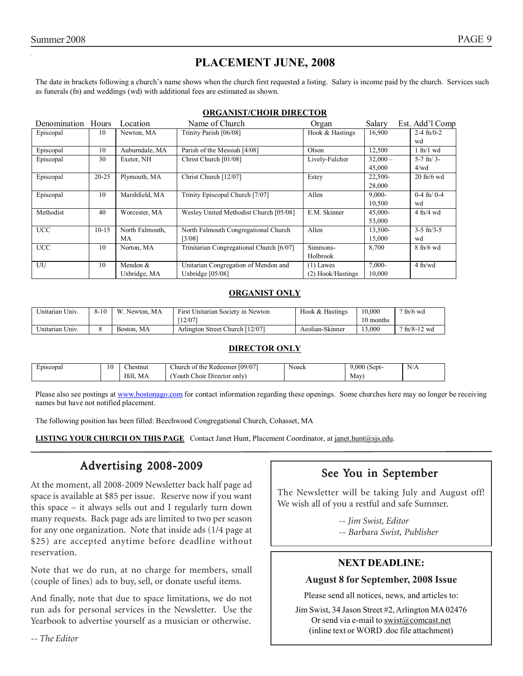# **PLACEMENT JUNE, 2008**

The date in brackets following a church's name shows when the church first requested a listing. Salary is income paid by the church. Services such as funerals (fn) and weddings (wd) with additional fees are estimated as shown.

#### **ORGANIST/CHOIR DIRECTOR**

| Denomination Hours |           | Location        | Name of Church                           | Organ             | Salary     | Est. Add'l Comp       |
|--------------------|-----------|-----------------|------------------------------------------|-------------------|------------|-----------------------|
| Episcopal          | 10        | Newton, MA      | Trinity Parish [06/08]                   | Hook & Hastings   | 16,900     | $2-4$ fn/0-2          |
|                    |           |                 |                                          |                   |            | wd                    |
| Episcopal          | 10        | Auburndale, MA  | Parish of the Messiah [4/08]             | Olson             | 12,500     | $1$ fn/ $1$ wd        |
| Episcopal          | 30        | Exeter, NH      | Christ Church [01/08]                    | Lively-Fulcher    | $32,000 -$ | $5-7$ fn/ $3-$        |
|                    |           |                 |                                          |                   | 45,000     | 4/wd                  |
| Episcopal          | $20 - 25$ | Plymouth, MA    | Christ Church [12/07]                    | Estey             | 22,500-    | $20 \text{ ft}$ /6 wd |
|                    |           |                 |                                          |                   | 28,000     |                       |
| Episcopal          | 10        | Marshfield, MA  | Trinity Episcopal Church [7/07]          | Allen             | $9,000-$   | $0-4$ fn/ $0-4$       |
|                    |           |                 |                                          |                   | 10,500     | wd                    |
| Methodist          | 40        | Worcester, MA   | Wesley United Methodist Church [05/08]   | E.M. Skinner      | 45,000-    | $4$ fn/ $4$ wd        |
|                    |           |                 |                                          |                   | 53,000     |                       |
| <b>UCC</b>         | $10-15$   | North Falmouth, | North Falmouth Congregational Church     | Allen             | 13,500-    | $3-5$ fn/ $3-5$       |
|                    |           | MA              | $3/08$ ]                                 |                   | 15,000     | wd                    |
| <b>UCC</b>         | 10        | Norton, MA      | Trinitarian Congregational Church [6/07] | Simmons-          | 8,700      | $8$ fn/6 wd           |
|                    |           |                 |                                          | Holbrook          |            |                       |
| UU                 | 10        | Mendon $&$      | Unitarian Congregation of Mendon and     | $(1)$ Lawes       | 7,000-     | $4$ fn/wd             |
|                    |           | Uxbridge, MA    | Uxbridge $[05/08]$                       | (2) Hook/Hastings | 10.000     |                       |

#### **ORGANIST ONLY**

| Unitarian Univ. | $8 - 10$ | W.<br>Newton, MA | First Unitarian Society in Newton | Hook & Hastings | 10.000    | $\frac{9 \text{ ft}}{6 \text{ wd}}$ |
|-----------------|----------|------------------|-----------------------------------|-----------------|-----------|-------------------------------------|
|                 |          |                  | 12/07                             |                 | 10 months |                                     |
| Unitarian Univ. |          | MA<br>Boston.    | Arlington Street Church [12/07]   | Aeolian-Skinner | 3.000     | $9 \text{ ft} / 8 - 12 \text{ wd}$  |

#### **DIRECTOR ONLY**

| Episcopal | 10 | $\sim$<br>hestnut: | [09/07]<br>Thurch of the<br>: Redeemer | Noack | $\sqrt{2}$<br>9.000<br>(Sept. | N<br>13/T |
|-----------|----|--------------------|----------------------------------------|-------|-------------------------------|-----------|
|           |    | Hill.<br>МA        | . Choir Director only)<br>outh         |       | Mav<br>___                    |           |

Please also see postings at www.bostonago.com for contact information regarding these openings. Some churches here may no longer be receiving names but have not notified placement.

The following position has been filled: Beechwood Congregational Church, Cohasset, MA

**LISTING YOUR CHURCH ON THIS PAGE** Contact Janet Hunt, Placement Coordinator, at janet.hunt@sjs.edu.

# Advertising 2008-2009

At the moment, all 2008-2009 Newsletter back half page ad space is available at \$85 per issue. Reserve now if you want this space – it always sells out and I regularly turn down many requests. Back page ads are limited to two per season for any one organization. Note that inside ads (1/4 page at \$25) are accepted anytime before deadline without reservation.

Note that we do run, at no charge for members, small (couple of lines) ads to buy, sell, or donate useful items.

And finally, note that due to space limitations, we do not run ads for personal services in the Newsletter. Use the Yearbook to advertise yourself as a musician or otherwise.

# See You in September

The Newsletter will be taking July and August off! We wish all of you a restful and safe Summer.

> *-- Jim Swist, Editor -- Barbara Swist, Publisher*

### **NEXT DEADLINE:**

#### **August 8 for September, 2008 Issue**

Please send all notices, news, and articles to:

Jim Swist, 34 Jason Street #2, Arlington MA 02476 Or send via e-mail to  $\frac{\text{swist}(\partial \text{connect})}{\text{swist}(\partial \text{connect})}$ (inline text or WORD .doc file attachment)

.